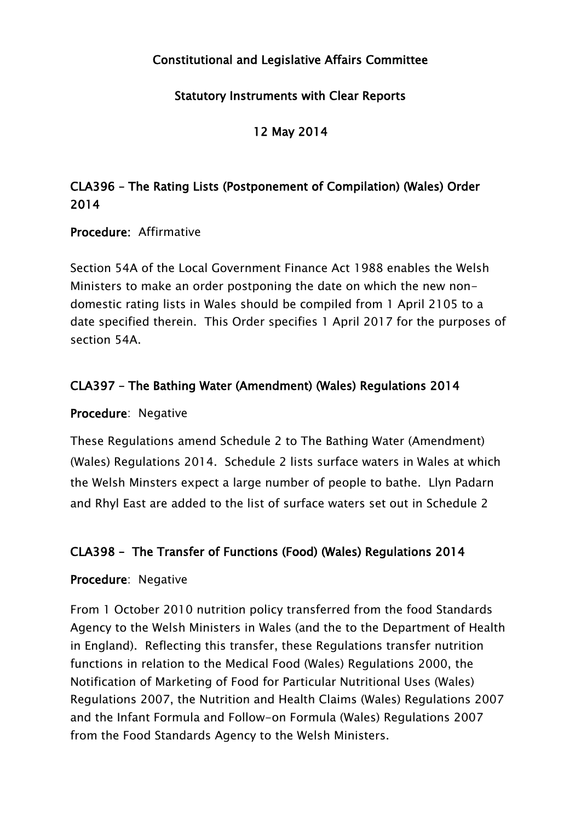## Constitutional and Legislative Affairs Committee

### Statutory Instruments with Clear Reports

12 May 2014

# CLA396 – The Rating Lists (Postponement of Compilation) (Wales) Order 2014

#### Procedure: Affirmative

Section 54A of the Local Government Finance Act 1988 enables the Welsh Ministers to make an order postponing the date on which the new nondomestic rating lists in Wales should be compiled from 1 April 2105 to a date specified therein. This Order specifies 1 April 2017 for the purposes of section 54A.

### CLA397 – The Bathing Water (Amendment) (Wales) Regulations 2014

#### Procedure: Negative

These Regulations amend Schedule 2 to The Bathing Water (Amendment) (Wales) Regulations 2014. Schedule 2 lists surface waters in Wales at which the Welsh Minsters expect a large number of people to bathe. Llyn Padarn and Rhyl East are added to the list of surface waters set out in Schedule 2

### CLA398 – The Transfer of Functions (Food) (Wales) Regulations 2014

#### Procedure: Negative

From 1 October 2010 nutrition policy transferred from the food Standards Agency to the Welsh Ministers in Wales (and the to the Department of Health in England). Reflecting this transfer, these Regulations transfer nutrition functions in relation to the Medical Food (Wales) Regulations 2000, the Notification of Marketing of Food for Particular Nutritional Uses (Wales) Regulations 2007, the Nutrition and Health Claims (Wales) Regulations 2007 and the Infant Formula and Follow-on Formula (Wales) Regulations 2007 from the Food Standards Agency to the Welsh Ministers.